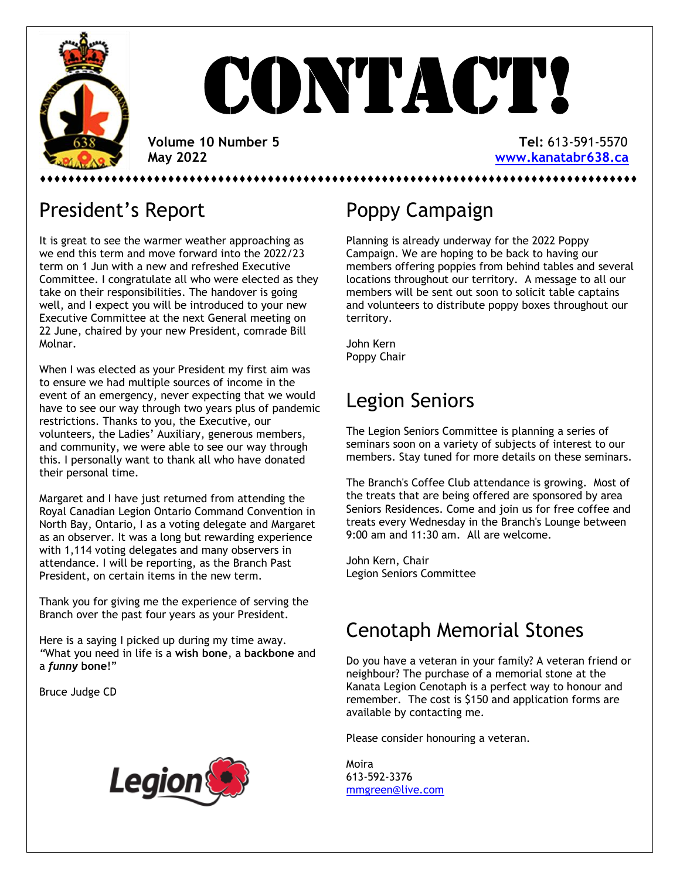

# **CONTACT!**

 **Volume 10 Number 5 Tel:** 613-591-5570  **May 2022 [www.kanatabr638.ca](http://www.kanatabr638.ca/)**

⬧⬧⬧⬧⬧⬧⬧⬧⬧⬧⬧⬧⬧⬧⬧⬧⬧⬧⬧⬧⬧⬧⬧⬧⬧⬧⬧⬧⬧⬧⬧⬧⬧⬧⬧⬧⬧⬧⬧⬧⬧⬧⬧⬧⬧⬧⬧⬧⬧⬧⬧⬧⬧⬧⬧⬧⬧⬧⬧⬧⬧⬧⬧⬧⬧⬧⬧⬧⬧⬧⬧⬧⬧⬧⬧⬧⬧⬧⬧⬧⬧⬧⬧⬧

## President's Report

It is great to see the warmer weather approaching as we end this term and move forward into the 2022/23 term on 1 Jun with a new and refreshed Executive Committee. I congratulate all who were elected as they take on their responsibilities. The handover is going well, and I expect you will be introduced to your new Executive Committee at the next General meeting on 22 June, chaired by your new President, comrade Bill Molnar.

When I was elected as your President my first aim was to ensure we had multiple sources of income in the event of an emergency, never expecting that we would have to see our way through two years plus of pandemic restrictions. Thanks to you, the Executive, our volunteers, the Ladies' Auxiliary, generous members, and community, we were able to see our way through this. I personally want to thank all who have donated their personal time.

Margaret and I have just returned from attending the Royal Canadian Legion Ontario Command Convention in North Bay, Ontario, I as a voting delegate and Margaret as an observer. It was a long but rewarding experience with 1,114 voting delegates and many observers in attendance. I will be reporting, as the Branch Past President, on certain items in the new term.

Thank you for giving me the experience of serving the Branch over the past four years as your President.

Here is a saying I picked up during my time away*. "*What you need in life is a **wish bone**, a **backbone** and a *funny* **bone**!"

Bruce Judge CD



## Poppy Campaign

Planning is already underway for the 2022 Poppy Campaign. We are hoping to be back to having our members offering poppies from behind tables and several locations throughout our territory. A message to all our members will be sent out soon to solicit table captains and volunteers to distribute poppy boxes throughout our territory.

John Kern Poppy Chair

## Legion Seniors

The Legion Seniors Committee is planning a series of seminars soon on a variety of subjects of interest to our members. Stay tuned for more details on these seminars.

The Branch's Coffee Club attendance is growing. Most of the treats that are being offered are sponsored by area Seniors Residences. Come and join us for free coffee and treats every Wednesday in the Branch's Lounge between 9:00 am and 11:30 am. All are welcome.

John Kern, Chair Legion Seniors Committee

## Cenotaph Memorial Stones

Do you have a veteran in your family? A veteran friend or neighbour? The purchase of a memorial stone at the Kanata Legion Cenotaph is a perfect way to honour and remember. The cost is \$150 and application forms are available by contacting me.

Please consider honouring a veteran.

Moira 613-592-3376 [mmgreen@live.com](mailto:mmgreen@live.com)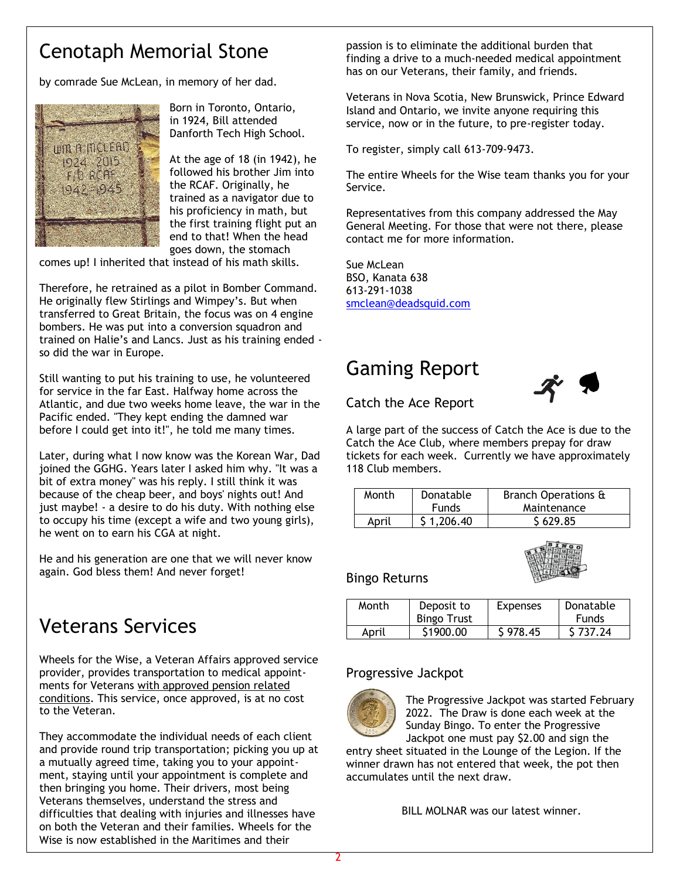## Cenotaph Memorial Stone

by comrade Sue McLean, in memory of her dad.



Born in Toronto, Ontario, in 1924, Bill attended Danforth Tech High School.

At the age of 18 (in 1942), he followed his brother Jim into the RCAF. Originally, he trained as a navigator due to his proficiency in math, but the first training flight put an end to that! When the head goes down, the stomach

comes up! I inherited that instead of his math skills.

Therefore, he retrained as a pilot in Bomber Command. He originally flew Stirlings and Wimpey's. But when transferred to Great Britain, the focus was on 4 engine bombers. He was put into a conversion squadron and trained on Halie's and Lancs. Just as his training ended so did the war in Europe.

Still wanting to put his training to use, he volunteered for service in the far East. Halfway home across the Atlantic, and due two weeks home leave, the war in the Pacific ended. "They kept ending the damned war before I could get into it!", he told me many times.

Later, during what I now know was the Korean War, Dad joined the GGHG. Years later I asked him why. "It was a bit of extra money" was his reply. I still think it was because of the cheap beer, and boys' nights out! And just maybe! - a desire to do his duty. With nothing else to occupy his time (except a wife and two young girls), he went on to earn his CGA at night.

He and his generation are one that we will never know again. God bless them! And never forget!

## Veterans Services

Wheels for the Wise, a Veteran Affairs approved service provider, provides transportation to medical appointments for Veterans with approved pension related conditions. This service, once approved, is at no cost to the Veteran.

They accommodate the individual needs of each client and provide round trip transportation; picking you up at a mutually agreed time, taking you to your appointment, staying until your appointment is complete and then bringing you home. Their drivers, most being Veterans themselves, understand the stress and difficulties that dealing with injuries and illnesses have on both the Veteran and their families. Wheels for the Wise is now established in the Maritimes and their

passion is to eliminate the additional burden that finding a drive to a much-needed medical appointment has on our Veterans, their family, and friends.

Veterans in Nova Scotia, New Brunswick, Prince Edward Island and Ontario, we invite anyone requiring this service, now or in the future, to pre-register today.

To register, simply call 613-709-9473.

The entire Wheels for the Wise team thanks you for your Service.

Representatives from this company addressed the May General Meeting. For those that were not there, please contact me for more information.

Sue McLean BSO, Kanata 638 613-291-1038 [smclean@deadsquid.com](mailto:smclean@deadsquid.com)

## Gaming Report



Catch the Ace Report

A large part of the success of Catch the Ace is due to the Catch the Ace Club, where members prepay for draw tickets for each week. Currently we have approximately 118 Club members.

| Month | Branch Operations &<br>Donatable |             |
|-------|----------------------------------|-------------|
|       | <b>Funds</b>                     | Maintenance |
| April | \$1,206.40                       | \$629.85    |



Bingo Returns

| Month | Deposit to         | <b>Expenses</b> | Donatable    |  |
|-------|--------------------|-----------------|--------------|--|
|       | <b>Bingo Trust</b> |                 | <b>Funds</b> |  |
| April | \$1900.00          | \$978.45        | \$737.24     |  |

#### Progressive Jackpot



The Progressive Jackpot was started February 2022. The Draw is done each week at the Sunday Bingo. To enter the Progressive Jackpot one must pay \$2.00 and sign the

entry sheet situated in the Lounge of the Legion. If the winner drawn has not entered that week, the pot then accumulates until the next draw.

BILL MOLNAR was our latest winner.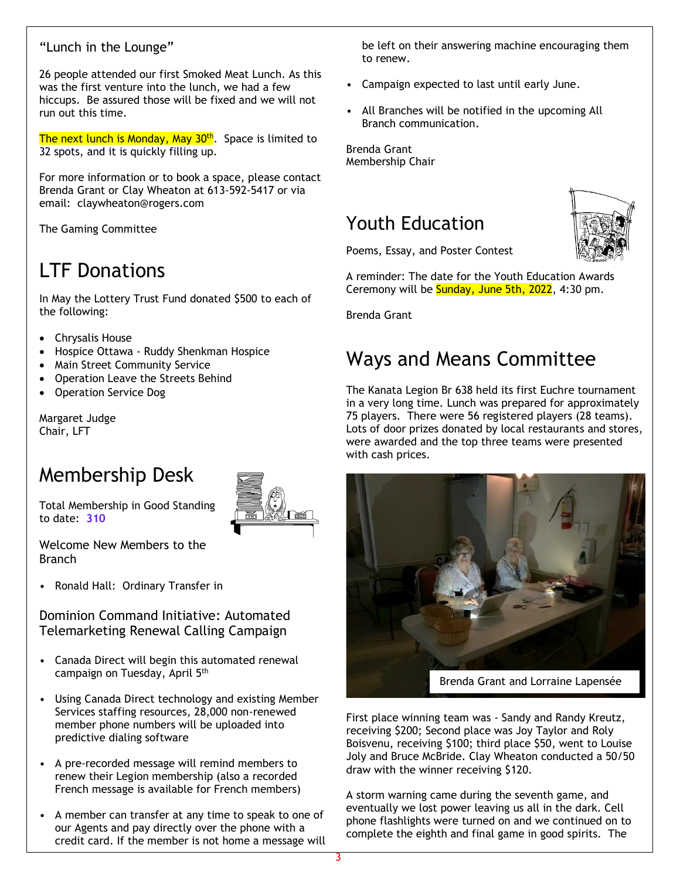### "Lunch in the Lounge"

26 people attended our first Smoked Meat Lunch. As this was the first venture into the lunch, we had a few hiccups. Be assured those will be fixed and we will not run out this time.

The next lunch is Monday, May 30<sup>th</sup>. Space is limited to 32 spots, and it is quickly filling up.

For more information or to book a space, please contact Brenda Grant or Clay Wheaton at 613-592-5417 or via email: claywheaton@rogers.com

The Gaming Committee

## LTF Donations

In May the Lottery Trust Fund donated \$500 to each of the following:

- Chrysalis House
- Hospice Ottawa Ruddy Shenkman Hospice
- Main Street Community Service
- Operation Leave the Streets Behind
- Operation Service Dog

Margaret Judge Chair, LFT

## Membership Desk

Total Membership in Good Standing to date: **310**



Welcome New Members to the Branch

• Ronald Hall: Ordinary Transfer in

Dominion Command Initiative: Automated Telemarketing Renewal Calling Campaign

- Canada Direct will begin this automated renewal campaign on Tuesday, April 5th
- Using Canada Direct technology and existing Member Services staffing resources, 28,000 non-renewed member phone numbers will be uploaded into predictive dialing software
- A pre-recorded message will remind members to renew their Legion membership (also a recorded French message is available for French members)
- A member can transfer at any time to speak to one of our Agents and pay directly over the phone with a credit card. If the member is not home a message will

be left on their answering machine encouraging them to renew.

- Campaign expected to last until early June.
- All Branches will be notified in the upcoming All Branch communication.

Brenda Grant Membership Chair

## Youth Education



Poems, Essay, and Poster Contest

A reminder: The date for the Youth Education Awards Ceremony will be **Sunday, June 5th, 2022**, 4:30 pm.

Brenda Grant

## Ways and Means Committee

The Kanata Legion Br 638 held its first Euchre tournament in a very long time. Lunch was prepared for approximately 75 players. There were 56 registered players (28 teams). Lots of door prizes donated by local restaurants and stores, were awarded and the top three teams were presented with cash prices.



First place winning team was - Sandy and Randy Kreutz, receiving \$200; Second place was Joy Taylor and Roly Boisvenu, receiving \$100; third place \$50, went to Louise Joly and Bruce McBride. Clay Wheaton conducted a 50/50 draw with the winner receiving \$120.

A storm warning came during the seventh game, and eventually we lost power leaving us all in the dark. Cell phone flashlights were turned on and we continued on to complete the eighth and final game in good spirits. The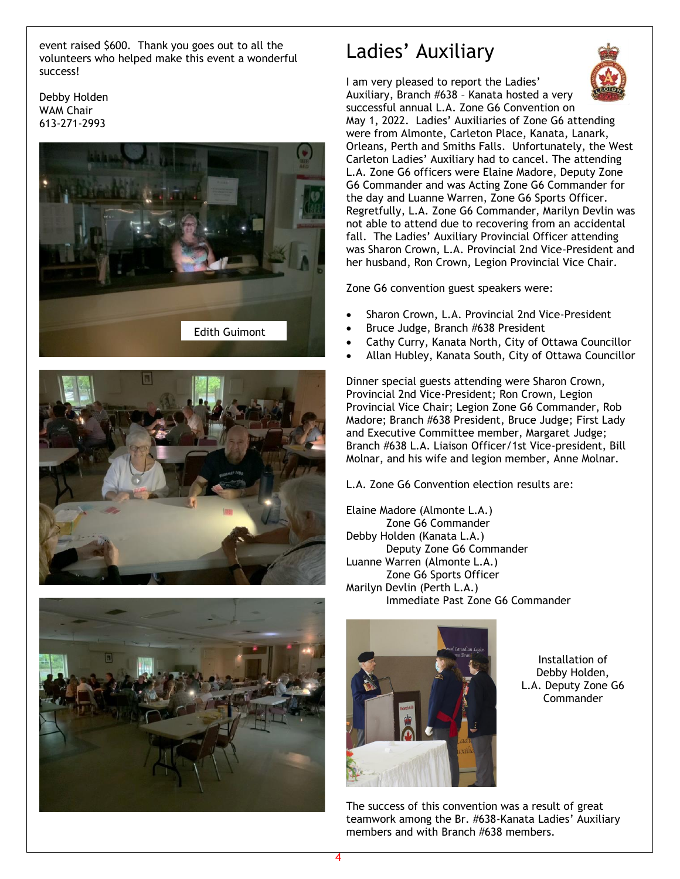event raised \$600. Thank you goes out to all the volunteers who helped make this event a wonderful success!

Debby Holden WAM Chair 613-271-2993







## Ladies' Auxiliary



I am very pleased to report the Ladies' Auxiliary, Branch #638 – Kanata hosted a very successful annual L.A. Zone G6 Convention on May 1, 2022. Ladies' Auxiliaries of Zone G6 attending were from Almonte, Carleton Place, Kanata, Lanark, Orleans, Perth and Smiths Falls. Unfortunately, the West Carleton Ladies' Auxiliary had to cancel. The attending L.A. Zone G6 officers were Elaine Madore, Deputy Zone G6 Commander and was Acting Zone G6 Commander for the day and Luanne Warren, Zone G6 Sports Officer. Regretfully, L.A. Zone G6 Commander, Marilyn Devlin was not able to attend due to recovering from an accidental fall. The Ladies' Auxiliary Provincial Officer attending was Sharon Crown, L.A. Provincial 2nd Vice-President and her husband, Ron Crown, Legion Provincial Vice Chair.

Zone G6 convention guest speakers were:

- Sharon Crown, L.A. Provincial 2nd Vice-President
- Bruce Judge, Branch #638 President
- Cathy Curry, Kanata North, City of Ottawa Councillor
- Allan Hubley, Kanata South, City of Ottawa Councillor

Dinner special guests attending were Sharon Crown, Provincial 2nd Vice-President; Ron Crown, Legion Provincial Vice Chair; Legion Zone G6 Commander, Rob Madore; Branch #638 President, Bruce Judge; First Lady and Executive Committee member, Margaret Judge; Branch #638 L.A. Liaison Officer/1st Vice-president, Bill Molnar, and his wife and legion member, Anne Molnar.

L.A. Zone G6 Convention election results are:

Elaine Madore (Almonte L.A.) Zone G6 Commander Debby Holden (Kanata L.A.) Deputy Zone G6 Commander Luanne Warren (Almonte L.A.) Zone G6 Sports Officer Marilyn Devlin (Perth L.A.) Immediate Past Zone G6 Commander



Installation of Debby Holden, L.A. Deputy Zone G6 **Commander** 

The success of this convention was a result of great teamwork among the Br. #638-Kanata Ladies' Auxiliary members and with Branch #638 members.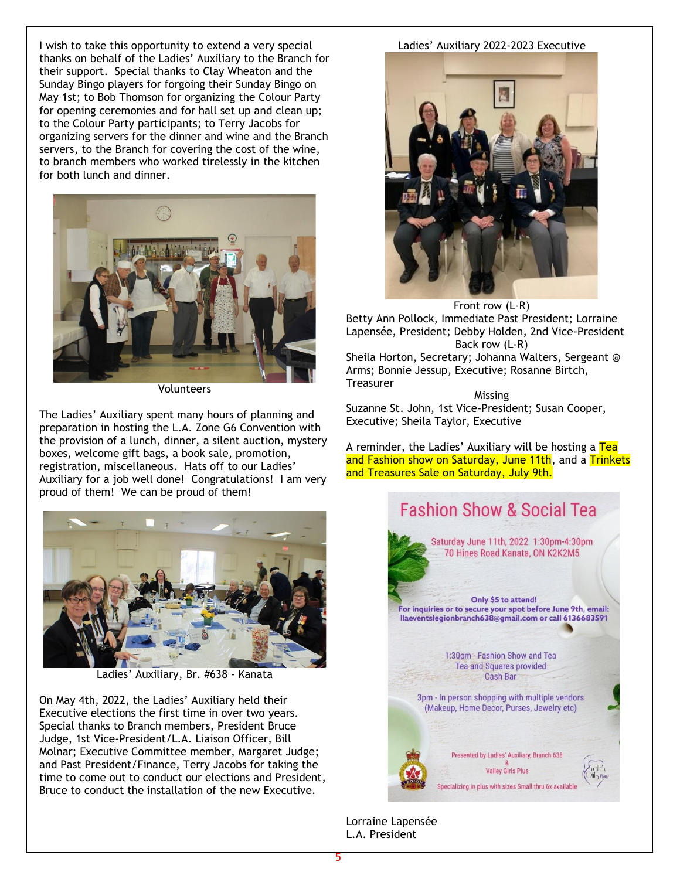I wish to take this opportunity to extend a very special thanks on behalf of the Ladies' Auxiliary to the Branch for their support. Special thanks to Clay Wheaton and the Sunday Bingo players for forgoing their Sunday Bingo on May 1st; to Bob Thomson for organizing the Colour Party for opening ceremonies and for hall set up and clean up; to the Colour Party participants; to Terry Jacobs for organizing servers for the dinner and wine and the Branch servers, to the Branch for covering the cost of the wine, to branch members who worked tirelessly in the kitchen for both lunch and dinner.



Volunteers

The Ladies' Auxiliary spent many hours of planning and preparation in hosting the L.A. Zone G6 Convention with the provision of a lunch, dinner, a silent auction, mystery boxes, welcome gift bags, a book sale, promotion, registration, miscellaneous. Hats off to our Ladies' Auxiliary for a job well done! Congratulations! I am very proud of them! We can be proud of them!



Ladies' Auxiliary, Br. #638 - Kanata

On May 4th, 2022, the Ladies' Auxiliary held their Executive elections the first time in over two years. Special thanks to Branch members, President Bruce Judge, 1st Vice-President/L.A. Liaison Officer, Bill Molnar; Executive Committee member, Margaret Judge; and Past President/Finance, Terry Jacobs for taking the time to come out to conduct our elections and President, Bruce to conduct the installation of the new Executive.

#### Ladies' Auxiliary 2022-2023 Executive



Front row (L-R) Betty Ann Pollock, Immediate Past President; Lorraine Lapensée, President; Debby Holden, 2nd Vice-President Back row (L-R) Sheila Horton, Secretary; Johanna Walters, Sergeant @

Arms; Bonnie Jessup, Executive; Rosanne Birtch, **Treasurer** 

Missing

Suzanne St. John, 1st Vice-President; Susan Cooper, Executive; Sheila Taylor, Executive

A reminder, the Ladies' Auxiliary will be hosting a Tea and Fashion show on Saturday, June 11th, and a Trinkets and Treasures Sale on Saturday, July 9th.



Lorraine Lapensée L.A. President